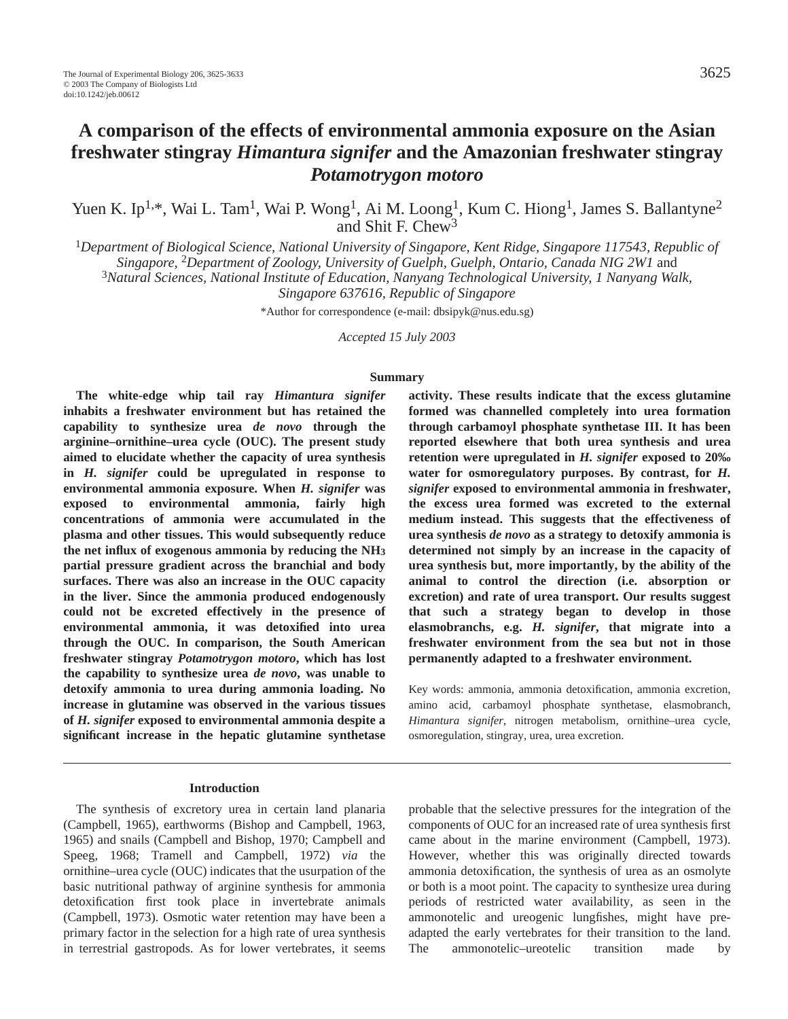# **A comparison of the effects of environmental ammonia exposure on the Asian freshwater stingray** *Himantura signifer* **and the Amazonian freshwater stingray** *Potamotrygon motoro*

Yuen K. Ip<sup>1,\*</sup>, Wai L. Tam<sup>1</sup>, Wai P. Wong<sup>1</sup>, Ai M. Loong<sup>1</sup>, Kum C. Hiong<sup>1</sup>, James S. Ballantyne<sup>2</sup> and Shit F. Chew<sup>3</sup>

<sup>1</sup>*Department of Biological Science, National University of Singapore, Kent Ridge, Singapore 117543, Republic of*

*Singapore,* 2*Department of Zoology, University of Guelph, Guelph, Ontario, Canada NIG 2W1* and

<sup>3</sup>*Natural Sciences, National Institute of Education, Nanyang Technological University, 1 Nanyang Walk,*

*Singapore 637616, Republic of Singapore*

\*Author for correspondence (e-mail: dbsipyk@nus.edu.sg)

*Accepted 15 July 2003*

#### **Summary**

**The white-edge whip tail ray** *Himantura signifer* **inhabits a freshwater environment but has retained the capability to synthesize urea** *de novo* **through the arginine–ornithine–urea cycle (OUC). The present study aimed to elucidate whether the capacity of urea synthesis in** *H. signifer* **could be upregulated in response to environmental ammonia exposure. When** *H. signifer* **was exposed to environmental ammonia, fairly high concentrations of ammonia were accumulated in the plasma and other tissues. This would subsequently reduce the net influx of exogenous ammonia by reducing the NH3 partial pressure gradient across the branchial and body surfaces. There was also an increase in the OUC capacity in the liver. Since the ammonia produced endogenously could not be excreted effectively in the presence of environmental ammonia, it was detoxified into urea through the OUC. In comparison, the South American freshwater stingray** *Potamotrygon motoro***, which has lost the capability to synthesize urea** *de novo***, was unable to detoxify ammonia to urea during ammonia loading. No increase in glutamine was observed in the various tissues of** *H. signifer* **exposed to environmental ammonia despite a significant increase in the hepatic glutamine synthetase**

#### **Introduction**

The synthesis of excretory urea in certain land planaria (Campbell, 1965), earthworms (Bishop and Campbell, 1963, 1965) and snails (Campbell and Bishop, 1970; Campbell and Speeg, 1968; Tramell and Campbell, 1972) *via* the ornithine–urea cycle (OUC) indicates that the usurpation of the basic nutritional pathway of arginine synthesis for ammonia detoxification first took place in invertebrate animals (Campbell, 1973). Osmotic water retention may have been a primary factor in the selection for a high rate of urea synthesis in terrestrial gastropods. As for lower vertebrates, it seems

**activity. These results indicate that the excess glutamine formed was channelled completely into urea formation through carbamoyl phosphate synthetase III. It has been reported elsewhere that both urea synthesis and urea retention were upregulated in** *H. signifer* **exposed to 20‰ water for osmoregulatory purposes. By contrast, for** *H. signifer* **exposed to environmental ammonia in freshwater, the excess urea formed was excreted to the external medium instead. This suggests that the effectiveness of urea synthesis** *de novo* **as a strategy to detoxify ammonia is determined not simply by an increase in the capacity of urea synthesis but, more importantly, by the ability of the animal to control the direction (i.e. absorption or excretion) and rate of urea transport. Our results suggest that such a strategy began to develop in those elasmobranchs, e.g.** *H. signifer***, that migrate into a freshwater environment from the sea but not in those permanently adapted to a freshwater environment.** 

Key words: ammonia, ammonia detoxification, ammonia excretion, amino acid, carbamoyl phosphate synthetase, elasmobranch, *Himantura signifer*, nitrogen metabolism, ornithine–urea cycle, osmoregulation, stingray, urea, urea excretion.

probable that the selective pressures for the integration of the components of OUC for an increased rate of urea synthesis first came about in the marine environment (Campbell, 1973). However, whether this was originally directed towards ammonia detoxification, the synthesis of urea as an osmolyte or both is a moot point. The capacity to synthesize urea during periods of restricted water availability, as seen in the ammonotelic and ureogenic lungfishes, might have preadapted the early vertebrates for their transition to the land. The ammonotelic–ureotelic transition made by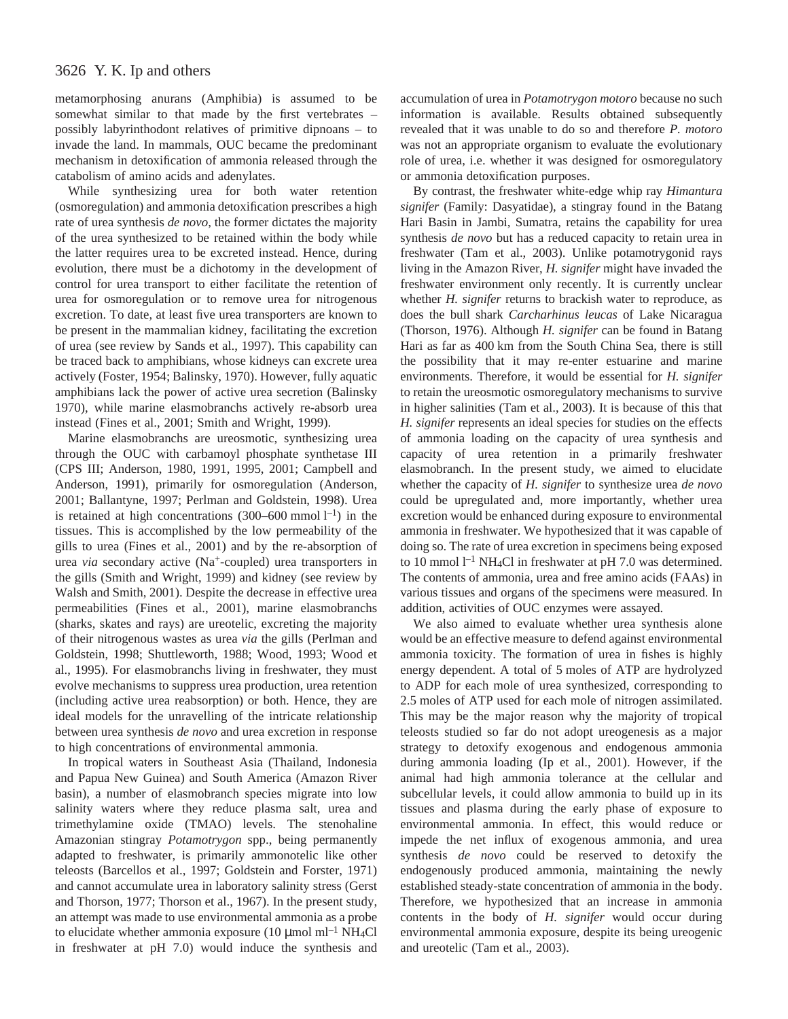metamorphosing anurans (Amphibia) is assumed to be somewhat similar to that made by the first vertebrates – possibly labyrinthodont relatives of primitive dipnoans – to invade the land. In mammals, OUC became the predominant mechanism in detoxification of ammonia released through the catabolism of amino acids and adenylates.

While synthesizing urea for both water retention (osmoregulation) and ammonia detoxification prescribes a high rate of urea synthesis *de novo*, the former dictates the majority of the urea synthesized to be retained within the body while the latter requires urea to be excreted instead. Hence, during evolution, there must be a dichotomy in the development of control for urea transport to either facilitate the retention of urea for osmoregulation or to remove urea for nitrogenous excretion. To date, at least five urea transporters are known to be present in the mammalian kidney, facilitating the excretion of urea (see review by Sands et al., 1997). This capability can be traced back to amphibians, whose kidneys can excrete urea actively (Foster, 1954; Balinsky, 1970). However, fully aquatic amphibians lack the power of active urea secretion (Balinsky 1970), while marine elasmobranchs actively re-absorb urea instead (Fines et al., 2001; Smith and Wright, 1999).

Marine elasmobranchs are ureosmotic, synthesizing urea through the OUC with carbamoyl phosphate synthetase III (CPS III; Anderson, 1980, 1991, 1995, 2001; Campbell and Anderson, 1991), primarily for osmoregulation (Anderson, 2001; Ballantyne, 1997; Perlman and Goldstein, 1998). Urea is retained at high concentrations  $(300-600 \text{ mmol } l^{-1})$  in the tissues. This is accomplished by the low permeability of the gills to urea (Fines et al., 2001) and by the re-absorption of urea *via* secondary active (Na+-coupled) urea transporters in the gills (Smith and Wright, 1999) and kidney (see review by Walsh and Smith, 2001). Despite the decrease in effective urea permeabilities (Fines et al., 2001), marine elasmobranchs (sharks, skates and rays) are ureotelic, excreting the majority of their nitrogenous wastes as urea *via* the gills (Perlman and Goldstein, 1998; Shuttleworth, 1988; Wood, 1993; Wood et al., 1995). For elasmobranchs living in freshwater, they must evolve mechanisms to suppress urea production, urea retention (including active urea reabsorption) or both. Hence, they are ideal models for the unravelling of the intricate relationship between urea synthesis *de novo* and urea excretion in response to high concentrations of environmental ammonia.

In tropical waters in Southeast Asia (Thailand, Indonesia and Papua New Guinea) and South America (Amazon River basin), a number of elasmobranch species migrate into low salinity waters where they reduce plasma salt, urea and trimethylamine oxide (TMAO) levels. The stenohaline Amazonian stingray *Potamotrygon* spp., being permanently adapted to freshwater, is primarily ammonotelic like other teleosts (Barcellos et al., 1997; Goldstein and Forster, 1971) and cannot accumulate urea in laboratory salinity stress (Gerst and Thorson, 1977; Thorson et al., 1967). In the present study, an attempt was made to use environmental ammonia as a probe to elucidate whether ammonia exposure (10  $\mu$ mol ml<sup>-1</sup> NH<sub>4</sub>Cl in freshwater at pH 7.0) would induce the synthesis and

accumulation of urea in *Potamotrygon motoro* because no such information is available. Results obtained subsequently revealed that it was unable to do so and therefore *P. motoro* was not an appropriate organism to evaluate the evolutionary role of urea, i.e. whether it was designed for osmoregulatory or ammonia detoxification purposes.

By contrast, the freshwater white-edge whip ray *Himantura signifer* (Family: Dasyatidae), a stingray found in the Batang Hari Basin in Jambi, Sumatra, retains the capability for urea synthesis *de novo* but has a reduced capacity to retain urea in freshwater (Tam et al., 2003). Unlike potamotrygonid rays living in the Amazon River, *H. signifer* might have invaded the freshwater environment only recently. It is currently unclear whether *H. signifer* returns to brackish water to reproduce, as does the bull shark *Carcharhinus leucas* of Lake Nicaragua (Thorson, 1976). Although *H. signifer* can be found in Batang Hari as far as 400 km from the South China Sea, there is still the possibility that it may re-enter estuarine and marine environments. Therefore, it would be essential for *H. signifer* to retain the ureosmotic osmoregulatory mechanisms to survive in higher salinities (Tam et al., 2003). It is because of this that *H. signifer* represents an ideal species for studies on the effects of ammonia loading on the capacity of urea synthesis and capacity of urea retention in a primarily freshwater elasmobranch. In the present study, we aimed to elucidate whether the capacity of *H. signifer* to synthesize urea *de novo* could be upregulated and, more importantly, whether urea excretion would be enhanced during exposure to environmental ammonia in freshwater. We hypothesized that it was capable of doing so. The rate of urea excretion in specimens being exposed to 10 mmol  $l^{-1}$  NH<sub>4</sub>Cl in freshwater at pH 7.0 was determined. The contents of ammonia, urea and free amino acids (FAAs) in various tissues and organs of the specimens were measured. In addition, activities of OUC enzymes were assayed.

We also aimed to evaluate whether urea synthesis alone would be an effective measure to defend against environmental ammonia toxicity. The formation of urea in fishes is highly energy dependent. A total of 5 moles of ATP are hydrolyzed to ADP for each mole of urea synthesized, corresponding to 2.5 moles of ATP used for each mole of nitrogen assimilated. This may be the major reason why the majority of tropical teleosts studied so far do not adopt ureogenesis as a major strategy to detoxify exogenous and endogenous ammonia during ammonia loading (Ip et al., 2001). However, if the animal had high ammonia tolerance at the cellular and subcellular levels, it could allow ammonia to build up in its tissues and plasma during the early phase of exposure to environmental ammonia. In effect, this would reduce or impede the net influx of exogenous ammonia, and urea synthesis *de novo* could be reserved to detoxify the endogenously produced ammonia, maintaining the newly established steady-state concentration of ammonia in the body. Therefore, we hypothesized that an increase in ammonia contents in the body of *H. signifer* would occur during environmental ammonia exposure, despite its being ureogenic and ureotelic (Tam et al., 2003).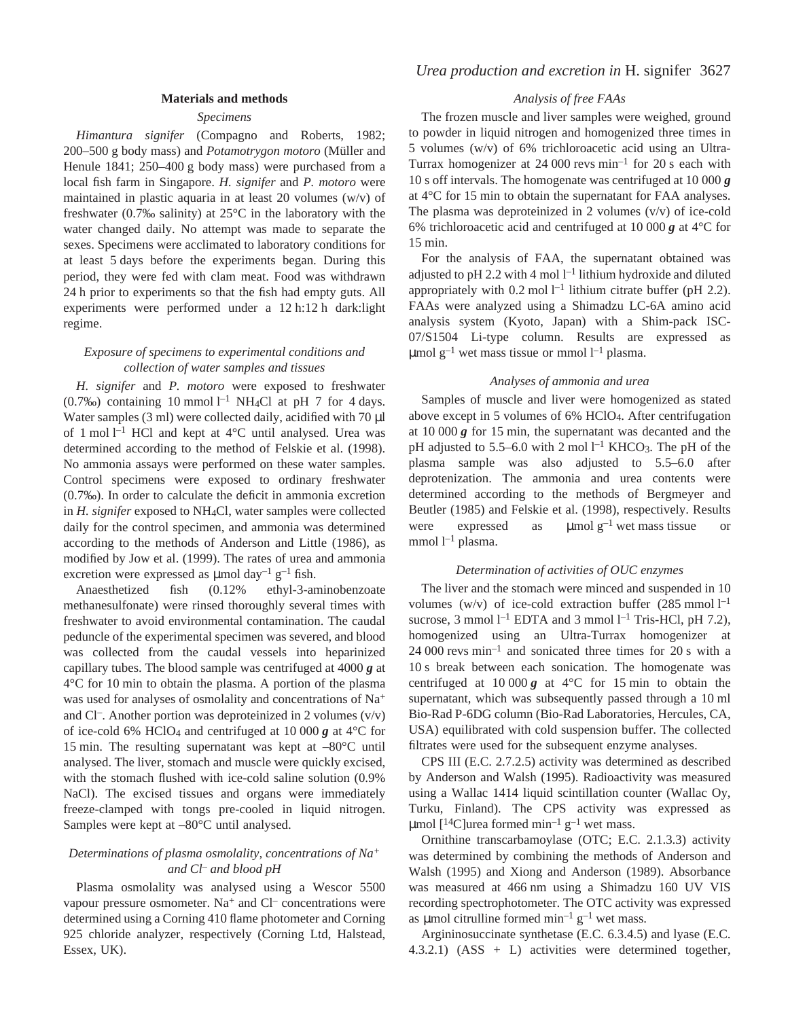#### **Materials and methods**

#### *Specimens*

*Himantura signifer* (Compagno and Roberts, 1982; 200–500·g body mass) and *Potamotrygon motoro* (Müller and Henule 1841;  $250-400$  g body mass) were purchased from a local fish farm in Singapore. *H. signifer* and *P. motoro* were maintained in plastic aquaria in at least 20 volumes (w/v) of freshwater (0.7‰ salinity) at 25°C in the laboratory with the water changed daily. No attempt was made to separate the sexes. Specimens were acclimated to laboratory conditions for at least 5 days before the experiments began. During this period, they were fed with clam meat. Food was withdrawn 24 h prior to experiments so that the fish had empty guts. All experiments were performed under a 12 h:12 h dark:light regime.

### *Exposure of specimens to experimental conditions and collection of water samples and tissues*

*H. signifer* and *P. motoro* were exposed to freshwater (0.7‰) containing 10 mmol  $l^{-1}$  NH<sub>4</sub>Cl at pH 7 for 4 days. Water samples  $(3 \text{ ml})$  were collected daily, acidified with  $70 \text{ µl}$ of 1 mol  $l^{-1}$  HCl and kept at 4°C until analysed. Urea was determined according to the method of Felskie et al. (1998). No ammonia assays were performed on these water samples. Control specimens were exposed to ordinary freshwater (0.7‰). In order to calculate the deficit in ammonia excretion in *H. signifer* exposed to NH4Cl, water samples were collected daily for the control specimen, and ammonia was determined according to the methods of Anderson and Little (1986), as modified by Jow et al. (1999). The rates of urea and ammonia excretion were expressed as  $\mu$ mol day<sup>-1</sup> g<sup>-1</sup> fish.

Anaesthetized fish (0.12% ethyl-3-aminobenzoate methanesulfonate) were rinsed thoroughly several times with freshwater to avoid environmental contamination. The caudal peduncle of the experimental specimen was severed, and blood was collected from the caudal vessels into heparinized capillary tubes. The blood sample was centrifuged at 4000 *g* at  $4^{\circ}$ C for 10 min to obtain the plasma. A portion of the plasma was used for analyses of osmolality and concentrations of Na<sup>+</sup> and Cl<sup>-</sup>. Another portion was deproteinized in 2 volumes  $(v/v)$ of ice-cold 6% HClO<sub>4</sub> and centrifuged at 10 000  $g$  at 4<sup>°</sup>C for 15 min. The resulting supernatant was kept at  $-80^{\circ}$ C until analysed. The liver, stomach and muscle were quickly excised, with the stomach flushed with ice-cold saline solution (0.9% NaCl). The excised tissues and organs were immediately freeze-clamped with tongs pre-cooled in liquid nitrogen. Samples were kept at –80°C until analysed.

### *Determinations of plasma osmolality, concentrations of Na<sup>+</sup> and Cl– and blood pH*

Plasma osmolality was analysed using a Wescor 5500 vapour pressure osmometer.  $Na<sup>+</sup>$  and  $Cl<sup>-</sup>$  concentrations were determined using a Corning 410 flame photometer and Corning 925 chloride analyzer, respectively (Corning Ltd, Halstead, Essex, UK).

### *Analysis of free FAAs*

The frozen muscle and liver samples were weighed, ground to powder in liquid nitrogen and homogenized three times in 5 volumes (w/v) of 6% trichloroacetic acid using an Ultra-Turrax homogenizer at 24 000 revs  $min^{-1}$  for 20 s each with 10·s off intervals. The homogenate was centrifuged at 10·000·*g* at  $4^{\circ}$ C for 15 min to obtain the supernatant for FAA analyses. The plasma was deproteinized in 2 volumes  $(v/v)$  of ice-cold 6% trichloroacetic acid and centrifuged at 10 000  $g$  at 4<sup>°</sup>C for 15 min.

For the analysis of FAA, the supernatant obtained was adjusted to pH 2.2 with 4 mol  $l<sup>-1</sup>$  lithium hydroxide and diluted appropriately with  $0.2$  mol  $l^{-1}$  lithium citrate buffer (pH 2.2). FAAs were analyzed using a Shimadzu LC-6A amino acid analysis system (Kyoto, Japan) with a Shim-pack ISC-07/S1504 Li-type column. Results are expressed as  $\mu$ mol g<sup>-1</sup> wet mass tissue or mmol l<sup>-1</sup> plasma.

### *Analyses of ammonia and urea*

Samples of muscle and liver were homogenized as stated above except in 5 volumes of 6% HClO4. After centrifugation at  $10\,000\,g$  for 15 min, the supernatant was decanted and the pH adjusted to 5.5–6.0 with 2 mol  $l^{-1}$  KHCO<sub>3</sub>. The pH of the plasma sample was also adjusted to 5.5–6.0 after deprotenization. The ammonia and urea contents were determined according to the methods of Bergmeyer and Beutler (1985) and Felskie et al. (1998), respectively. Results were expressed as  $\mu$ molg<sup>-1</sup> wet mass tissue or mmol  $l^{-1}$  plasma.

#### *Determination of activities of OUC enzymes*

The liver and the stomach were minced and suspended in 10 volumes (w/v) of ice-cold extraction buffer  $(285 \text{ mmol } l^{-1})$ sucrose, 3 mmol  $l^{-1}$  EDTA and 3 mmol  $l^{-1}$  Tris-HCl, pH 7.2), homogenized using an Ultra-Turrax homogenizer at  $24~000$  revs min<sup>-1</sup> and sonicated three times for 20 s with a 10 s break between each sonication. The homogenate was centrifuged at  $10\,000\,\text{g}$  at  $4^{\circ}\text{C}$  for 15 min to obtain the supernatant, which was subsequently passed through a 10 ml Bio-Rad P-6DG column (Bio-Rad Laboratories, Hercules, CA, USA) equilibrated with cold suspension buffer. The collected filtrates were used for the subsequent enzyme analyses.

CPS III (E.C. 2.7.2.5) activity was determined as described by Anderson and Walsh (1995). Radioactivity was measured using a Wallac 1414 liquid scintillation counter (Wallac Oy, Turku, Finland). The CPS activity was expressed as µmol  $[14C]$ urea formed min<sup>-1</sup> g<sup>-1</sup> wet mass.

Ornithine transcarbamoylase (OTC; E.C. 2.1.3.3) activity was determined by combining the methods of Anderson and Walsh (1995) and Xiong and Anderson (1989). Absorbance was measured at 466 nm using a Shimadzu 160 UV VIS recording spectrophotometer. The OTC activity was expressed as µmol citrulline formed  $\min^{-1} g^{-1}$  wet mass.

Argininosuccinate synthetase (E.C. 6.3.4.5) and lyase (E.C. 4.3.2.1) (ASS + L) activities were determined together,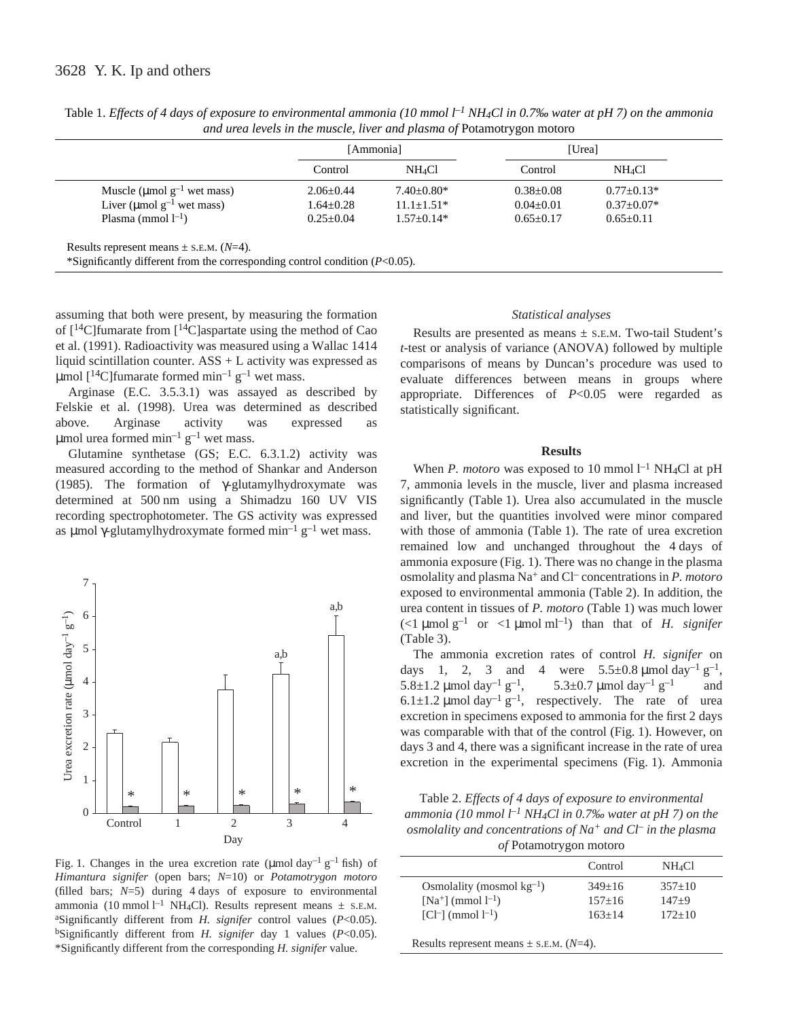|                                 | [Ammonia]       |                  | [Urea]          |                         |
|---------------------------------|-----------------|------------------|-----------------|-------------------------|
|                                 | Control         | NH4Cl            | Control         | <b>NH<sub>4</sub>Cl</b> |
| Muscle (µmol $g^{-1}$ wet mass) | $2.06 \pm 0.44$ | $7.40+0.80*$     | $0.38 \pm 0.08$ | $0.77+0.13*$            |
| Liver (umol $g^{-1}$ wet mass)  | $1.64 \pm 0.28$ | $11.1 \pm 1.51*$ | $0.04 \pm 0.01$ | $0.37 \pm 0.07*$        |
| Plasma (mmol $l^{-1}$ )         | $0.25 + 0.04$   | $1.57+0.14*$     | $0.65+0.17$     | $0.65 \pm 0.11$         |

Table 1. *Effects of 4 days of exposure to environmental ammonia (10 mmol l<sup>-1</sup> NH<sub>4</sub>Cl in 0.7‰ water at pH 7) on the ammonia and urea levels in the muscle, liver and plasma of* Potamotrygon motoro

assuming that both were present, by measuring the formation of  $[14C]$ fumarate from  $[14C]$ aspartate using the method of Cao et al. (1991). Radioactivity was measured using a Wallac 1414 liquid scintillation counter. ASS + L activity was expressed as µmol  $[14C]$ fumarate formed min<sup>-1</sup> g<sup>-1</sup> wet mass.

Arginase (E.C. 3.5.3.1) was assayed as described by Felskie et al. (1998). Urea was determined as described above. Arginase activity was expressed as µmol urea formed min<sup>-1</sup>  $g^{-1}$  wet mass.

Glutamine synthetase (GS; E.C. 6.3.1.2) activity was measured according to the method of Shankar and Anderson (1985). The formation of  $\gamma$ -glutamylhydroxymate was determined at 500 nm using a Shimadzu 160 UV VIS recording spectrophotometer. The GS activity was expressed as μmol γ-glutamylhydroxymate formed min<sup>-1</sup>  $g^{-1}$  wet mass.



Fig. 1. Changes in the urea excretion rate (µmol day<sup>-1</sup> g<sup>-1</sup> fish) of *Himantura signifer* (open bars; *N*=10) or *Potamotrygon motoro* (filled bars;  $N=5$ ) during 4 days of exposure to environmental ammonia (10 mmol  $l^{-1}$  NH<sub>4</sub>Cl). Results represent means  $\pm$  s.E.M. aSignificantly different from *H. signifer* control values (*P*<0.05). bSignificantly different from *H. signifer* day 1 values (*P*<0.05). \*Significantly different from the corresponding *H. signifer* value.

#### *Statistical analyses*

Results are presented as means  $\pm$  s.E.M. Two-tail Student's *t*-test or analysis of variance (ANOVA) followed by multiple comparisons of means by Duncan's procedure was used to evaluate differences between means in groups where appropriate. Differences of *P*<0.05 were regarded as statistically significant.

#### **Results**

When *P. motoro* was exposed to 10 mmol  $l^{-1}$  NH<sub>4</sub>Cl at pH 7, ammonia levels in the muscle, liver and plasma increased significantly (Table 1). Urea also accumulated in the muscle and liver, but the quantities involved were minor compared with those of ammonia (Table 1). The rate of urea excretion remained low and unchanged throughout the 4 days of ammonia exposure (Fig. 1). There was no change in the plasma osmolality and plasma Na<sup>+</sup> and Cl– concentrations in *P. motoro* exposed to environmental ammonia (Table 2). In addition, the urea content in tissues of *P. motoro* (Table 1) was much lower (<1  $\mu$ mol  $g^{-1}$  or <1  $\mu$ mol ml<sup>-1</sup>) than that of *H. signifer*  $(Table 3)$ .

The ammonia excretion rates of control *H. signifer* on days 1, 2, 3 and 4 were  $5.5 \pm 0.8 \,\mu\text{mol day}^{-1}\text{ g}^{-1}$ , 5.8±1.2 µmol day<sup>-1</sup> g<sup>-1</sup>, 5.3±0.7 µmol day<sup>-1</sup> g<sup>-1</sup> and 6.1 $\pm$ 1.2 µmol day<sup>-1</sup> g<sup>-1</sup>, respectively. The rate of urea excretion in specimens exposed to ammonia for the first 2 days was comparable with that of the control (Fig. 1). However, on days 3 and 4, there was a significant increase in the rate of urea excretion in the experimental specimens (Fig. 1). Ammonia

Table 2. *Effects of 4 days of exposure to environmental ammonia (10·mmol·l –1 NH4Cl in 0.7‰ water at pH 7) on the osmolality and concentrations of Na<sup>+</sup> and Cl– in the plasma of* Potamotrygon motoro

|                                | Control    | NH <sub>4</sub> Cl |  |
|--------------------------------|------------|--------------------|--|
| Osmolality (mosmol $kg^{-1}$ ) | $349+16$   | $357+10$           |  |
| $[Na^{+}] \pmod{1^{-1}}$       | $157 + 16$ | $147+9$            |  |
| $[Cl^{-}]$ (mmol $l^{-1}$ )    | $163+14$   | $172+10$           |  |
|                                |            |                    |  |

Results represent means  $\pm$  s.e.m. ( $N=4$ ).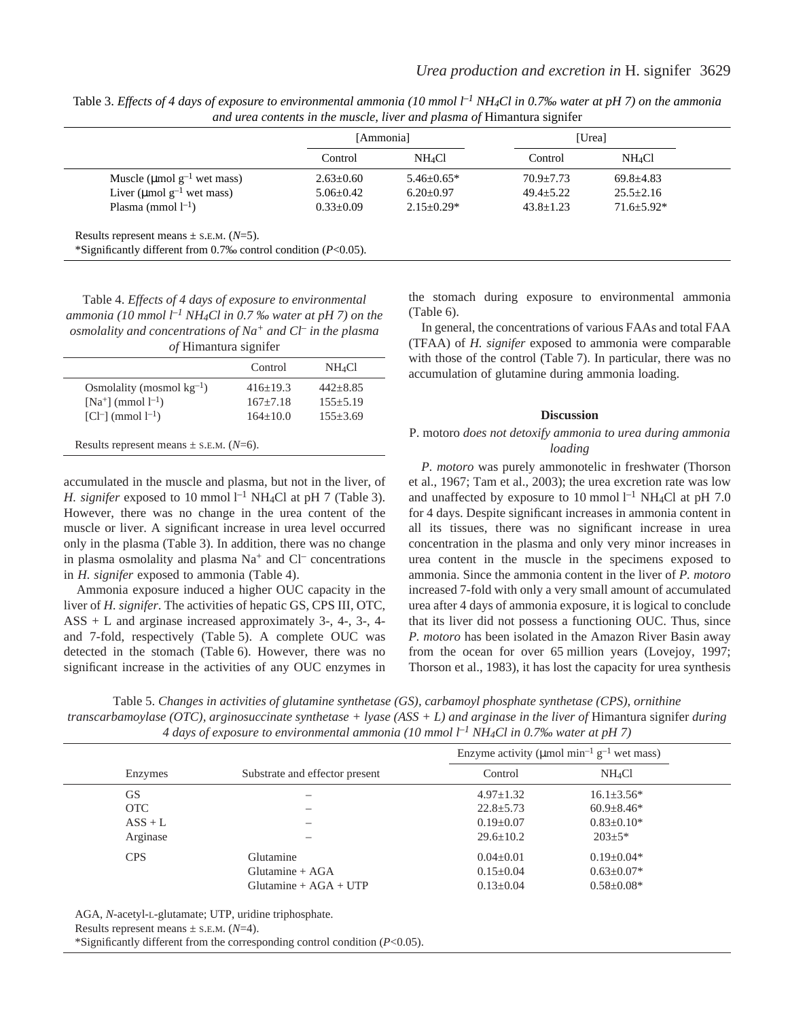|                                                                                                                  | [Ammonia]       |                    |                 | [Urea]             |  |  |
|------------------------------------------------------------------------------------------------------------------|-----------------|--------------------|-----------------|--------------------|--|--|
|                                                                                                                  | Control         | NH <sub>4</sub> Cl | Control         | NH <sub>4</sub> Cl |  |  |
| Muscle ( $\mu$ mol g <sup>-1</sup> wet mass)                                                                     | $2.63 \pm 0.60$ | $5.46 + 0.65*$     | $70.9 + 7.73$   | $69.8 + 4.83$      |  |  |
| Liver ( $\mu$ mol g <sup>-1</sup> wet mass)                                                                      | $5.06 \pm 0.42$ | $6.20 \pm 0.97$    | $49.4 \pm 5.22$ | $25.5 \pm 2.16$    |  |  |
| Plasma (mmol $l^{-1}$ )                                                                                          | $0.33+0.09$     | $2.15+0.29*$       | $43.8 \pm 1.23$ | $71.6 + 5.92*$     |  |  |
| Results represent means $\pm$ s.E.M. (N=5).<br>*Significantly different from 0.7‰ control condition $(P<0.05)$ . |                 |                    |                 |                    |  |  |

Table 3. *Effects of 4 days of exposure to environmental ammonia (10 mmol l<sup>-1</sup> NH4Cl in 0.7‰ water at pH 7) on the ammonia and urea contents in the muscle, liver and plasma of* Himantura signifer

Table 4. *Effects of 4 days of exposure to environmental ammonia (10·mmol·l –1 NH4Cl in 0.7 ‰ water at pH 7) on the osmolality and concentrations of Na<sup>+</sup> and Cl– in the plasma of* Himantura signifer

|                                | Control      | NH <sub>4</sub> Cl |
|--------------------------------|--------------|--------------------|
| Osmolality (mosmol $kg^{-1}$ ) | $416+19.3$   | $442 + 8.85$       |
| $[Na^{+}]$ (mmol $l^{-1}$ )    | $167 + 7.18$ | $155 + 5.19$       |
| $[C1^-]$ (mmol $1^{-1}$ )      | $164+10.0$   | $155 + 3.69$       |

accumulated in the muscle and plasma, but not in the liver, of *H. signifer* exposed to 10 mmol  $l^{-1}$  NH<sub>4</sub>Cl at pH 7 (Table 3). However, there was no change in the urea content of the muscle or liver. A significant increase in urea level occurred only in the plasma (Table·3). In addition, there was no change in plasma osmolality and plasma  $Na<sup>+</sup>$  and  $Cl<sup>-</sup>$  concentrations in *H. signifer* exposed to ammonia (Table 4).

Ammonia exposure induced a higher OUC capacity in the liver of *H. signifer*. The activities of hepatic GS, CPS III, OTC, ASS + L and arginase increased approximately 3-, 4-, 3-, 4 and 7-fold, respectively (Table 5). A complete OUC was detected in the stomach (Table 6). However, there was no significant increase in the activities of any OUC enzymes in the stomach during exposure to environmental ammonia  $(Table 6)$ .

In general, the concentrations of various FAAs and total FAA (TFAA) of *H. signifer* exposed to ammonia were comparable with those of the control (Table 7). In particular, there was no accumulation of glutamine during ammonia loading.

#### **Discussion**

### P. motoro *does not detoxify ammonia to urea during ammonia loading*

*P. motoro* was purely ammonotelic in freshwater (Thorson et al., 1967; Tam et al., 2003); the urea excretion rate was low and unaffected by exposure to 10 mmol  $l^{-1}$  NH<sub>4</sub>Cl at pH 7.0 for 4 days. Despite significant increases in ammonia content in all its tissues, there was no significant increase in urea concentration in the plasma and only very minor increases in urea content in the muscle in the specimens exposed to ammonia. Since the ammonia content in the liver of *P. motoro* increased 7-fold with only a very small amount of accumulated urea after 4 days of ammonia exposure, it is logical to conclude that its liver did not possess a functioning OUC. Thus, since *P. motoro* has been isolated in the Amazon River Basin away from the ocean for over 65 million years (Lovejoy, 1997; Thorson et al., 1983), it has lost the capacity for urea synthesis

Table 5. *Changes in activities of glutamine synthetase (GS), carbamoyl phosphate synthetase (CPS), ornithine transcarbamoylase (OTC), arginosuccinate synthetase + lyase (ASS + L) and arginase in the liver of* Himantura signifer *during 4·days of exposure to environmental ammonia (10·mmol·l –1 NH4Cl in 0.7‰ water at pH 7)*

|            |                                | Enzyme activity ( $\mu$ mol min <sup>-1</sup> g <sup>-1</sup> wet mass) |                    |  |
|------------|--------------------------------|-------------------------------------------------------------------------|--------------------|--|
| Enzymes    | Substrate and effector present | Control                                                                 | NH <sub>4</sub> Cl |  |
| GS         |                                | $4.97 \pm 1.32$                                                         | $16.1 \pm 3.56*$   |  |
| <b>OTC</b> |                                | $22.8 \pm 5.73$                                                         | $60.9 \pm 8.46*$   |  |
| $ASS + L$  |                                | $0.19 \pm 0.07$                                                         | $0.83 \pm 0.10*$   |  |
| Arginase   |                                | $29.6 \pm 10.2$                                                         | $203 + 5*$         |  |
| <b>CPS</b> | Glutamine                      | $0.04 \pm 0.01$                                                         | $0.19 \pm 0.04*$   |  |
|            | Glutamine $+ AGA$              | $0.15 \pm 0.04$                                                         | $0.63 \pm 0.07*$   |  |
|            | Glutamine + $AGA + UTP$        | $0.13 \pm 0.04$                                                         | $0.58 \pm 0.08*$   |  |

AGA, *N*-acetyl-L-glutamate; UTP, uridine triphosphate.

Results represent means  $\pm$  s.e.m. ( $N=4$ ).

\*Significantly different from the corresponding control condition (*P*<0.05).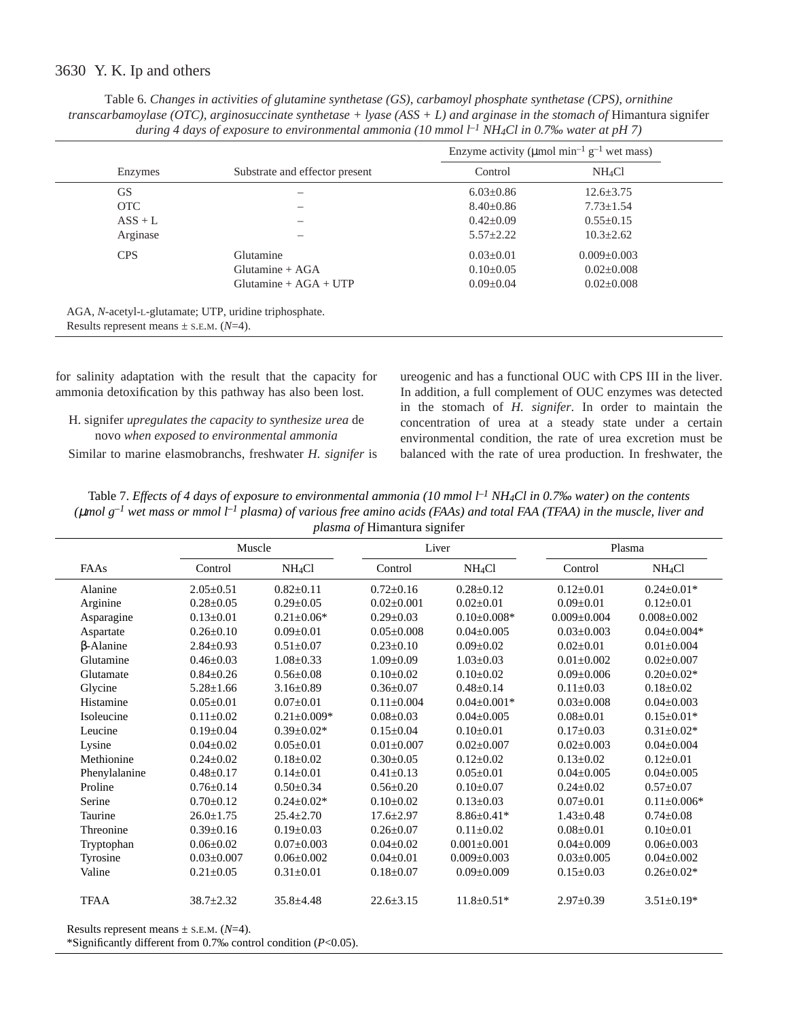Table 6. *Changes in activities of glutamine synthetase (GS), carbamoyl phosphate synthetase (CPS), ornithine transcarbamoylase (OTC), arginosuccinate synthetase + lyase (ASS + L) and arginase in the stomach of Himantura signifer during 4·days of exposure to environmental ammonia (10·mmol·l –1 NH4Cl in 0.7‰ water at pH 7)*

|            |                                | Enzyme activity ( $\mu$ mol min <sup>-1</sup> g <sup>-1</sup> wet mass) |                    |  |
|------------|--------------------------------|-------------------------------------------------------------------------|--------------------|--|
| Enzymes    | Substrate and effector present | Control                                                                 | NH <sub>4</sub> Cl |  |
| <b>GS</b>  |                                | $6.03 \pm 0.86$                                                         | $12.6 \pm 3.75$    |  |
| <b>OTC</b> |                                | $8.40 \pm 0.86$                                                         | $7.73 \pm 1.54$    |  |
| $ASS + L$  |                                | $0.42 \pm 0.09$                                                         | $0.55 \pm 0.15$    |  |
| Arginase   |                                | $5.57 \pm 2.22$                                                         | $10.3 \pm 2.62$    |  |
| <b>CPS</b> | Glutamine                      | $0.03 \pm 0.01$                                                         | $0.009 \pm 0.003$  |  |
|            | Glutamine $+ AGA$              | $0.10\pm0.05$                                                           | $0.02 \pm 0.008$   |  |
|            | $Glutamine + AGA + UTP$        | $0.09 \pm 0.04$                                                         | $0.02 \pm 0.008$   |  |

for salinity adaptation with the result that the capacity for ammonia detoxification by this pathway has also been lost.

H. signifer *upregulates the capacity to synthesize urea* de novo *when exposed to environmental ammonia*

Similar to marine elasmobranchs, freshwater *H. signifer* is

ureogenic and has a functional OUC with CPS III in the liver. In addition, a full complement of OUC enzymes was detected in the stomach of *H. signifer*. In order to maintain the concentration of urea at a steady state under a certain environmental condition, the rate of urea excretion must be balanced with the rate of urea production. In freshwater, the

Table 7. *Effects of 4 days of exposure to environmental ammonia (10 mmol l<sup>-1</sup> NH<sub>4</sub>Cl in 0.7‰ water) on the contents* ( $\mu$ mol g<sup>–1</sup> wet mass or mmol  $l^{-l}$  plasma) of various free amino acids (FAAs) and total FAA (TFAA) in the muscle, liver and *plasma of* Himantura signifer

| $p$ <i> cosmu <math>\sigma</math></i> $p$ <b>i</b> infinituature significa- |                  |                    |                  |                    |                   |                    |  |
|-----------------------------------------------------------------------------|------------------|--------------------|------------------|--------------------|-------------------|--------------------|--|
|                                                                             | Muscle           |                    |                  | Liver              |                   | Plasma             |  |
| FAAs                                                                        | Control          | NH <sub>4</sub> Cl | Control          | NH <sub>4</sub> Cl | Control           | NH <sub>4</sub> Cl |  |
| Alanine                                                                     | $2.05 \pm 0.51$  | $0.82 \pm 0.11$    | $0.72 \pm 0.16$  | $0.28 \pm 0.12$    | $0.12 \pm 0.01$   | $0.24 \pm 0.01*$   |  |
| Arginine                                                                    | $0.28 \pm 0.05$  | $0.29 \pm 0.05$    | $0.02 \pm 0.001$ | $0.02 \pm 0.01$    | $0.09 \pm 0.01$   | $0.12 \pm 0.01$    |  |
| Asparagine                                                                  | $0.13 \pm 0.01$  | $0.21 \pm 0.06*$   | $0.29 \pm 0.03$  | $0.10 \pm 0.008*$  | $0.009 \pm 0.004$ | $0.008 \pm 0.002$  |  |
| Aspartate                                                                   | $0.26 \pm 0.10$  | $0.09 \pm 0.01$    | $0.05 \pm 0.008$ | $0.04 \pm 0.005$   | $0.03 \pm 0.003$  | $0.04 \pm 0.004*$  |  |
| $\beta$ -Alanine                                                            | $2.84 \pm 0.93$  | $0.51 \pm 0.07$    | $0.23 \pm 0.10$  | $0.09 \pm 0.02$    | $0.02+0.01$       | $0.01 + 0.004$     |  |
| Glutamine                                                                   | $0.46 \pm 0.03$  | $1.08 \pm 0.33$    | $1.09 \pm 0.09$  | $1.03 \pm 0.03$    | $0.01 \pm 0.002$  | $0.02 \pm 0.007$   |  |
| Glutamate                                                                   | $0.84 \pm 0.26$  | $0.56 \pm 0.08$    | $0.10 \pm 0.02$  | $0.10 \pm 0.02$    | $0.09 \pm 0.006$  | $0.20 \pm 0.02*$   |  |
| Glycine                                                                     | $5.28 \pm 1.66$  | $3.16 \pm 0.89$    | $0.36 \pm 0.07$  | $0.48 \pm 0.14$    | $0.11 \pm 0.03$   | $0.18 \pm 0.02$    |  |
| Histamine                                                                   | $0.05 \pm 0.01$  | $0.07 \pm 0.01$    | $0.11 \pm 0.004$ | $0.04 + 0.001*$    | $0.03+0.008$      | $0.04 \pm 0.003$   |  |
| Isoleucine                                                                  | $0.11 \pm 0.02$  | $0.21 \pm 0.009*$  | $0.08 \pm 0.03$  | $0.04 \pm 0.005$   | $0.08 \pm 0.01$   | $0.15 \pm 0.01*$   |  |
| Leucine                                                                     | $0.19 \pm 0.04$  | $0.39 \pm 0.02*$   | $0.15 \pm 0.04$  | $0.10 \pm 0.01$    | $0.17 \pm 0.03$   | $0.31 \pm 0.02*$   |  |
| Lysine                                                                      | $0.04 \pm 0.02$  | $0.05 \pm 0.01$    | $0.01 \pm 0.007$ | $0.02 \pm 0.007$   | $0.02 \pm 0.003$  | $0.04 \pm 0.004$   |  |
| Methionine                                                                  | $0.24 \pm 0.02$  | $0.18 \pm 0.02$    | $0.30 \pm 0.05$  | $0.12 \pm 0.02$    | $0.13 \pm 0.02$   | $0.12 \pm 0.01$    |  |
| Phenylalanine                                                               | $0.48 \pm 0.17$  | $0.14 \pm 0.01$    | $0.41 \pm 0.13$  | $0.05 \pm 0.01$    | $0.04 \pm 0.005$  | $0.04 \pm 0.005$   |  |
| Proline                                                                     | $0.76 \pm 0.14$  | $0.50 \pm 0.34$    | $0.56 \pm 0.20$  | $0.10 \pm 0.07$    | $0.24 \pm 0.02$   | $0.57 \pm 0.07$    |  |
| Serine                                                                      | $0.70 \pm 0.12$  | $0.24 \pm 0.02*$   | $0.10 \pm 0.02$  | $0.13 \pm 0.03$    | $0.07 \pm 0.01$   | $0.11 \pm 0.006*$  |  |
| Taurine                                                                     | $26.0 \pm 1.75$  | $25.4 \pm 2.70$    | $17.6 \pm 2.97$  | $8.86 \pm 0.41*$   | $1.43 \pm 0.48$   | $0.74 \pm 0.08$    |  |
| Threonine                                                                   | $0.39 \pm 0.16$  | $0.19 \pm 0.03$    | $0.26 \pm 0.07$  | $0.11 \pm 0.02$    | $0.08 \pm 0.01$   | $0.10 \pm 0.01$    |  |
| Tryptophan                                                                  | $0.06 \pm 0.02$  | $0.07 \pm 0.003$   | $0.04 \pm 0.02$  | $0.001 \pm 0.001$  | $0.04 \pm 0.009$  | $0.06 \pm 0.003$   |  |
| Tyrosine                                                                    | $0.03 \pm 0.007$ | $0.06 \pm 0.002$   | $0.04 \pm 0.01$  | $0.009 \pm 0.003$  | $0.03 \pm 0.005$  | $0.04 \pm 0.002$   |  |
| Valine                                                                      | $0.21 \pm 0.05$  | $0.31 \pm 0.01$    | $0.18 \pm 0.07$  | $0.09 \pm 0.009$   | $0.15 \pm 0.03$   | $0.26 \pm 0.02*$   |  |
| <b>TFAA</b>                                                                 | $38.7 \pm 2.32$  | $35.8 \pm 4.48$    | $22.6 \pm 3.15$  | $11.8 \pm 0.51*$   | $2.97 \pm 0.39$   | $3.51 \pm 0.19*$   |  |
|                                                                             |                  |                    |                  |                    |                   |                    |  |

Results represent means  $\pm$  s.e.m. ( $N=4$ ).

\*Significantly different from 0.7‰ control condition (*P*<0.05).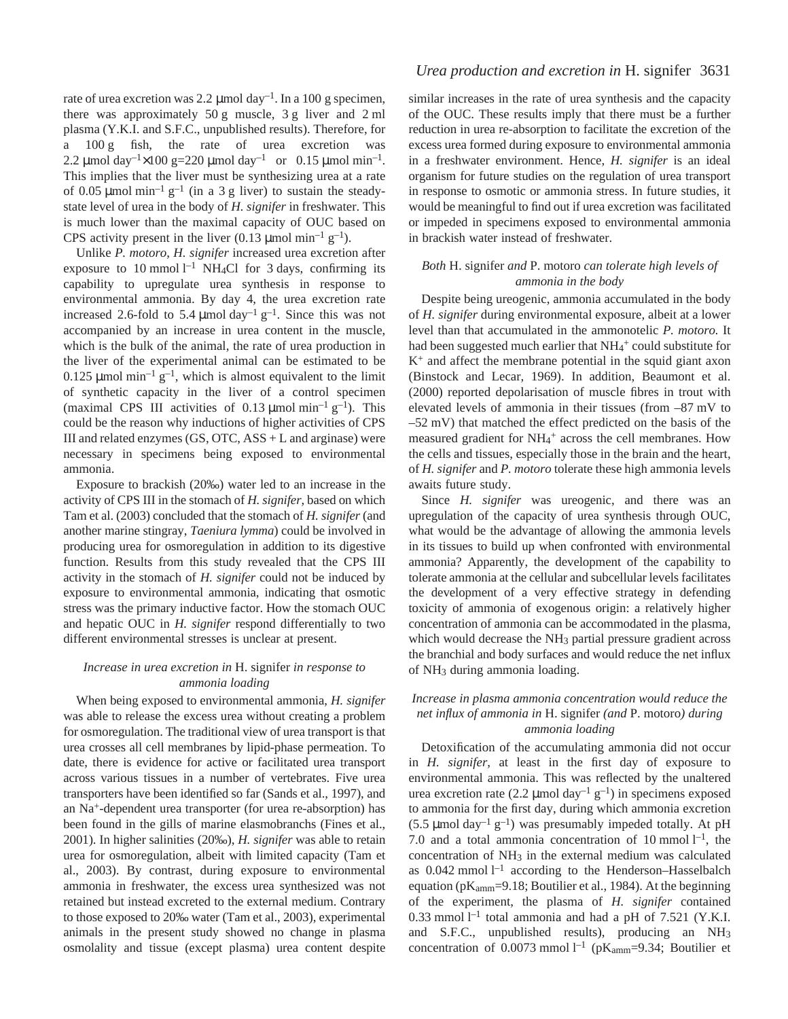rate of urea excretion was 2.2  $\mu$ mol day<sup>-1</sup>. In a 100 g specimen, there was approximately  $50 g$  muscle,  $3 g$  liver and  $2 ml$ plasma (Y.K.I. and S.F.C., unpublished results). Therefore, for a 100 g fish, the rate of urea excretion was 2.2 µmol day<sup>-1</sup>×100 g=220 µmol day<sup>-1</sup> or 0.15 µmol min<sup>-1</sup>. This implies that the liver must be synthesizing urea at a rate of 0.05  $\mu$ mol min<sup>-1</sup> g<sup>-1</sup> (in a 3 g liver) to sustain the steadystate level of urea in the body of *H. signifer* in freshwater. This is much lower than the maximal capacity of OUC based on CPS activity present in the liver (0.13  $\mu$ mol min<sup>-1</sup> g<sup>-1</sup>).

Unlike *P. motoro*, *H. signifer* increased urea excretion after exposure to 10 mmol  $l^{-1}$  NH<sub>4</sub>Cl for 3 days, confirming its capability to upregulate urea synthesis in response to environmental ammonia. By day 4, the urea excretion rate increased 2.6-fold to 5.4  $\mu$ mol day<sup>-1</sup> g<sup>-1</sup>. Since this was not accompanied by an increase in urea content in the muscle, which is the bulk of the animal, the rate of urea production in the liver of the experimental animal can be estimated to be 0.125  $\mu$ mol min<sup>-1</sup> g<sup>-1</sup>, which is almost equivalent to the limit of synthetic capacity in the liver of a control specimen (maximal CPS III activities of 0.13  $\mu$ mol min<sup>-1</sup> g<sup>-1</sup>). This could be the reason why inductions of higher activities of CPS III and related enzymes  $(GS, OTC, ASS + L$  and arginase) were necessary in specimens being exposed to environmental ammonia.

Exposure to brackish (20‰) water led to an increase in the activity of CPS III in the stomach of *H. signifer*, based on which Tam et al. (2003) concluded that the stomach of *H. signifer* (and another marine stingray, *Taeniura lymma*) could be involved in producing urea for osmoregulation in addition to its digestive function. Results from this study revealed that the CPS III activity in the stomach of *H. signifer* could not be induced by exposure to environmental ammonia, indicating that osmotic stress was the primary inductive factor. How the stomach OUC and hepatic OUC in *H. signifer* respond differentially to two different environmental stresses is unclear at present.

### *Increase in urea excretion in* H. signifer *in response to ammonia loading*

When being exposed to environmental ammonia, *H. signifer* was able to release the excess urea without creating a problem for osmoregulation. The traditional view of urea transport is that urea crosses all cell membranes by lipid-phase permeation. To date, there is evidence for active or facilitated urea transport across various tissues in a number of vertebrates. Five urea transporters have been identified so far (Sands et al., 1997), and an Na+-dependent urea transporter (for urea re-absorption) has been found in the gills of marine elasmobranchs (Fines et al., 2001). In higher salinities (20‰), *H. signifer* was able to retain urea for osmoregulation, albeit with limited capacity (Tam et al., 2003). By contrast, during exposure to environmental ammonia in freshwater, the excess urea synthesized was not retained but instead excreted to the external medium. Contrary to those exposed to 20‰ water (Tam et al., 2003), experimental animals in the present study showed no change in plasma osmolality and tissue (except plasma) urea content despite

# *Urea production and excretion in* H. signifer 3631

similar increases in the rate of urea synthesis and the capacity of the OUC. These results imply that there must be a further reduction in urea re-absorption to facilitate the excretion of the excess urea formed during exposure to environmental ammonia in a freshwater environment. Hence, *H. signifer* is an ideal organism for future studies on the regulation of urea transport in response to osmotic or ammonia stress. In future studies, it would be meaningful to find out if urea excretion was facilitated or impeded in specimens exposed to environmental ammonia in brackish water instead of freshwater.

### *Both* H. signifer *and* P. motoro *can tolerate high levels of ammonia in the body*

Despite being ureogenic, ammonia accumulated in the body of *H. signifer* during environmental exposure, albeit at a lower level than that accumulated in the ammonotelic *P. motoro.* It had been suggested much earlier that NH<sub>4</sub>+ could substitute for  $K<sup>+</sup>$  and affect the membrane potential in the squid giant axon (Binstock and Lecar, 1969). In addition, Beaumont et al. (2000) reported depolarisation of muscle fibres in trout with elevated levels of ammonia in their tissues (from  $-87~\mathrm{mV}$  to  $-52$  mV) that matched the effect predicted on the basis of the measured gradient for NH<sub>4</sub><sup>+</sup> across the cell membranes. How the cells and tissues, especially those in the brain and the heart, of *H. signifer* and *P. motoro* tolerate these high ammonia levels awaits future study.

Since *H. signifer* was ureogenic, and there was an upregulation of the capacity of urea synthesis through OUC, what would be the advantage of allowing the ammonia levels in its tissues to build up when confronted with environmental ammonia? Apparently, the development of the capability to tolerate ammonia at the cellular and subcellular levels facilitates the development of a very effective strategy in defending toxicity of ammonia of exogenous origin: a relatively higher concentration of ammonia can be accommodated in the plasma, which would decrease the NH<sub>3</sub> partial pressure gradient across the branchial and body surfaces and would reduce the net influx of NH3 during ammonia loading.

# *Increase in plasma ammonia concentration would reduce the net influx of ammonia in* H. signifer *(and* P. motoro*) during ammonia loading*

Detoxification of the accumulating ammonia did not occur in *H. signifer*, at least in the first day of exposure to environmental ammonia. This was reflected by the unaltered urea excretion rate (2.2  $\mu$ mol day<sup>-1</sup> g<sup>-1</sup>) in specimens exposed to ammonia for the first day, during which ammonia excretion  $(5.5 \mu \text{mol day}^{-1} \text{ g}^{-1})$  was presumably impeded totally. At pH 7.0 and a total ammonia concentration of 10 mmol  $l^{-1}$ , the concentration of NH3 in the external medium was calculated as  $0.042$  mmol  $l^{-1}$  according to the Henderson-Hasselbalch equation ( $pK_{\text{amm}}=9.18$ ; Boutilier et al., 1984). At the beginning of the experiment, the plasma of *H. signifer* contained 0.33 mmol  $l^{-1}$  total ammonia and had a pH of 7.521 (Y.K.I. and S.F.C., unpublished results), producing an NH3 concentration of 0.0073 mmol  $l^{-1}$  (pK<sub>amm</sub>=9.34; Boutilier et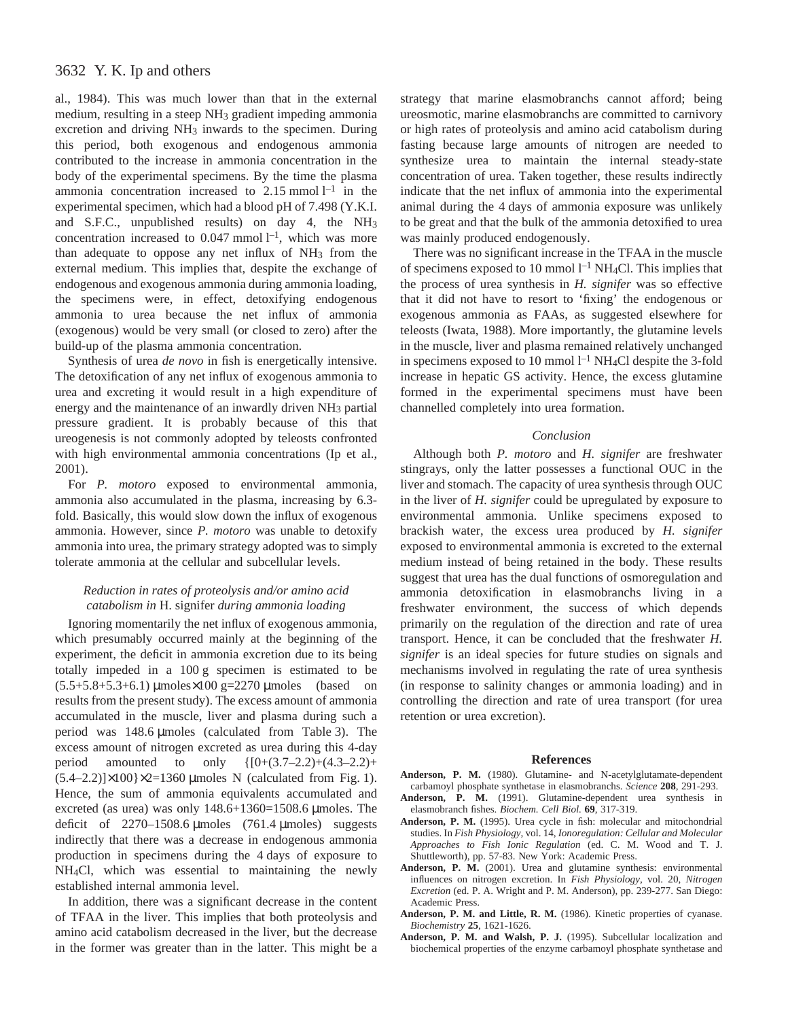al., 1984). This was much lower than that in the external medium, resulting in a steep NH3 gradient impeding ammonia excretion and driving NH<sub>3</sub> inwards to the specimen. During this period, both exogenous and endogenous ammonia contributed to the increase in ammonia concentration in the body of the experimental specimens. By the time the plasma ammonia concentration increased to  $2.15$  mmol  $l^{-1}$  in the experimental specimen, which had a blood pH of 7.498 (Y.K.I. and S.F.C., unpublished results) on day 4, the NH3 concentration increased to  $0.047$  mmol  $l^{-1}$ , which was more than adequate to oppose any net influx of  $NH<sub>3</sub>$  from the external medium. This implies that, despite the exchange of endogenous and exogenous ammonia during ammonia loading, the specimens were, in effect, detoxifying endogenous ammonia to urea because the net influx of ammonia (exogenous) would be very small (or closed to zero) after the build-up of the plasma ammonia concentration.

Synthesis of urea *de novo* in fish is energetically intensive. The detoxification of any net influx of exogenous ammonia to urea and excreting it would result in a high expenditure of energy and the maintenance of an inwardly driven NH<sub>3</sub> partial pressure gradient. It is probably because of this that ureogenesis is not commonly adopted by teleosts confronted with high environmental ammonia concentrations (Ip et al., 2001).

For *P. motoro* exposed to environmental ammonia, ammonia also accumulated in the plasma, increasing by 6.3 fold. Basically, this would slow down the influx of exogenous ammonia. However, since *P. motoro* was unable to detoxify ammonia into urea, the primary strategy adopted was to simply tolerate ammonia at the cellular and subcellular levels.

# *Reduction in rates of proteolysis and/or amino acid catabolism in* H. signifer *during ammonia loading*

Ignoring momentarily the net influx of exogenous ammonia, which presumably occurred mainly at the beginning of the experiment, the deficit in ammonia excretion due to its being totally impeded in a  $100 g$  specimen is estimated to be  $(5.5+5.8+5.3+6.1)$  µmoles×100 g=2270 µmoles (based on results from the present study). The excess amount of ammonia accumulated in the muscle, liver and plasma during such a period was  $148.6 \mu$ moles (calculated from Table 3). The excess amount of nitrogen excreted as urea during this 4-day period amounted to only  $\{[0+(3.7-2.2)+(4.3-2.2)+$  $(5.4–2.2)]\times100$ } $\times2=1360$  µmoles N (calculated from Fig. 1). Hence, the sum of ammonia equivalents accumulated and excreted (as urea) was only  $148.6+1360=1508.6 \mu$ moles. The deficit of  $2270-1508.6 \mu \text{moles}$  (761.4  $\mu \text{moles}$ ) suggests indirectly that there was a decrease in endogenous ammonia production in specimens during the 4 days of exposure to NH4Cl, which was essential to maintaining the newly established internal ammonia level.

In addition, there was a significant decrease in the content of TFAA in the liver. This implies that both proteolysis and amino acid catabolism decreased in the liver, but the decrease in the former was greater than in the latter. This might be a strategy that marine elasmobranchs cannot afford; being ureosmotic, marine elasmobranchs are committed to carnivory or high rates of proteolysis and amino acid catabolism during fasting because large amounts of nitrogen are needed to synthesize urea to maintain the internal steady-state concentration of urea. Taken together, these results indirectly indicate that the net influx of ammonia into the experimental animal during the 4 days of ammonia exposure was unlikely to be great and that the bulk of the ammonia detoxified to urea was mainly produced endogenously.

There was no significant increase in the TFAA in the muscle of specimens exposed to 10 mmol  $l^{-1}$  NH<sub>4</sub>Cl. This implies that the process of urea synthesis in *H. signifer* was so effective that it did not have to resort to 'fixing' the endogenous or exogenous ammonia as FAAs, as suggested elsewhere for teleosts (Iwata, 1988). More importantly, the glutamine levels in the muscle, liver and plasma remained relatively unchanged in specimens exposed to 10 mmol  $l^{-1}$  NH<sub>4</sub>Cl despite the 3-fold increase in hepatic GS activity. Hence, the excess glutamine formed in the experimental specimens must have been channelled completely into urea formation.

#### *Conclusion*

Although both *P. motoro* and *H. signifer* are freshwater stingrays, only the latter possesses a functional OUC in the liver and stomach. The capacity of urea synthesis through OUC in the liver of *H. signifer* could be upregulated by exposure to environmental ammonia. Unlike specimens exposed to brackish water, the excess urea produced by *H. signifer* exposed to environmental ammonia is excreted to the external medium instead of being retained in the body. These results suggest that urea has the dual functions of osmoregulation and ammonia detoxification in elasmobranchs living in a freshwater environment, the success of which depends primarily on the regulation of the direction and rate of urea transport. Hence, it can be concluded that the freshwater *H. signifer* is an ideal species for future studies on signals and mechanisms involved in regulating the rate of urea synthesis (in response to salinity changes or ammonia loading) and in controlling the direction and rate of urea transport (for urea retention or urea excretion).

#### **References**

- **Anderson, P. M.** (1980). Glutamine- and N-acetylglutamate-dependent carbamoyl phosphate synthetase in elasmobranchs. *Science* **208**, 291-293.
- **Anderson, P. M.** (1991). Glutamine-dependent urea synthesis in elasmobranch fishes. *Biochem. Cell Biol.* **69**, 317-319.
- **Anderson, P. M.** (1995). Urea cycle in fish: molecular and mitochondrial studies. In *Fish Physiology*, vol. 14, *Ionoregulation: Cellular and Molecular Approaches to Fish Ionic Regulation* (ed. C. M. Wood and T. J. Shuttleworth), pp. 57-83. New York: Academic Press.
- **Anderson, P. M.** (2001). Urea and glutamine synthesis: environmental influences on nitrogen excretion. In *Fish Physiology*, vol. 20, *Nitrogen Excretion* (ed. P. A. Wright and P. M. Anderson), pp. 239-277. San Diego: Academic Press.
- Anderson, P. M. and Little, R. M. (1986). Kinetic properties of cyanase. *Biochemistry* **25**, 1621-1626.
- **Anderson, P. M. and Walsh, P. J.** (1995). Subcellular localization and biochemical properties of the enzyme carbamoyl phosphate synthetase and